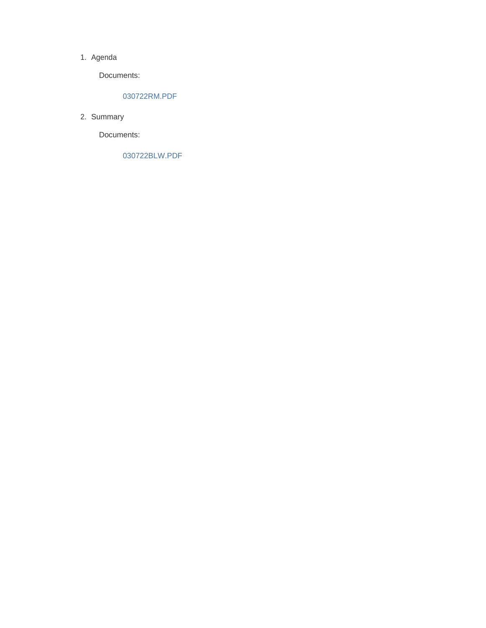#### 1. Agenda

Documents:

#### 030722RM.PDF

2. Summary

Documents:

030722BLW.PDF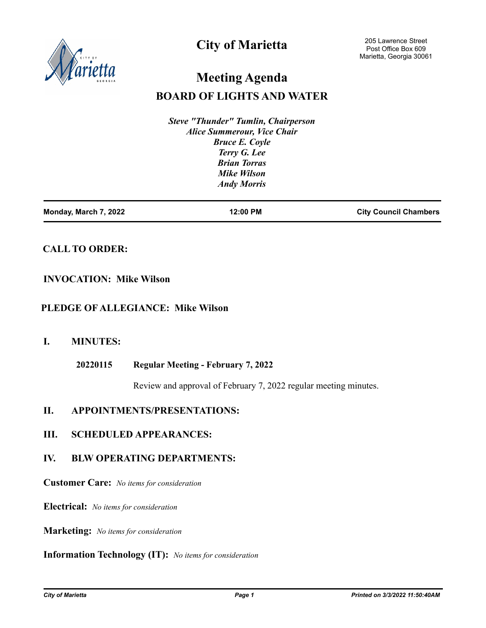

# **City of Marietta**

# **Meeting Agenda**

# **BOARD OF LIGHTS AND WATER**

*Steve "Thunder" Tumlin, Chairperson Alice Summerour, Vice Chair Bruce E. Coyle Terry G. Lee Brian Torras Mike Wilson Andy Morris*

| Monday, March 7, 2022 | 12:00 PM | <b>City Council Chambers</b> |
|-----------------------|----------|------------------------------|
|                       |          |                              |

# **CALL TO ORDER:**

## **INVOCATION: Mike Wilson**

### **PLEDGE OF ALLEGIANCE: Mike Wilson**

# **I. MINUTES:**

**Regular Meeting - February 7, 2022 20220115**

Review and approval of February 7, 2022 regular meeting minutes.

# **II. APPOINTMENTS/PRESENTATIONS:**

### **III. SCHEDULED APPEARANCES:**

# **IV. BLW OPERATING DEPARTMENTS:**

**Customer Care:** *No items for consideration*

**Electrical:** *No items for consideration*

**Marketing:** *No items for consideration*

#### **Information Technology (IT):** *No items for consideration*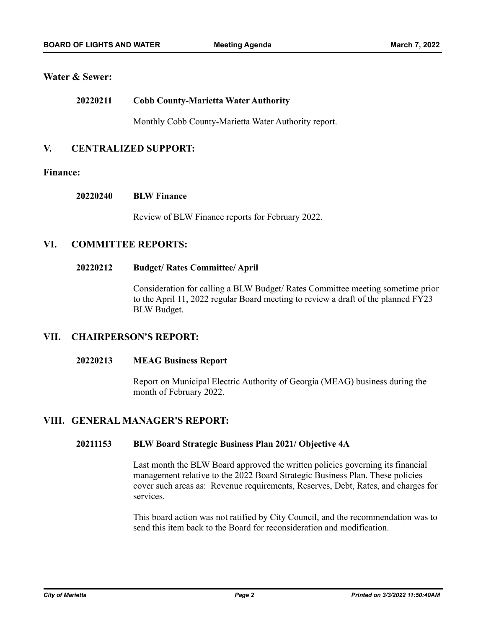### **Water & Sewer:**

#### **Cobb County-Marietta Water Authority 20220211**

Monthly Cobb County-Marietta Water Authority report.

## **V. CENTRALIZED SUPPORT:**

#### **Finance:**

#### **BLW Finance 20220240**

Review of BLW Finance reports for February 2022.

## **VI. COMMITTEE REPORTS:**

#### **Budget/ Rates Committee/ April 20220212**

Consideration for calling a BLW Budget/ Rates Committee meeting sometime prior to the April 11, 2022 regular Board meeting to review a draft of the planned FY23 BLW Budget.

### **VII. CHAIRPERSON'S REPORT:**

#### **MEAG Business Report 20220213**

Report on Municipal Electric Authority of Georgia (MEAG) business during the month of February 2022.

## **VIII. GENERAL MANAGER'S REPORT:**

#### **BLW Board Strategic Business Plan 2021/ Objective 4A 20211153**

Last month the BLW Board approved the written policies governing its financial management relative to the 2022 Board Strategic Business Plan. These policies cover such areas as: Revenue requirements, Reserves, Debt, Rates, and charges for services.

This board action was not ratified by City Council, and the recommendation was to send this item back to the Board for reconsideration and modification.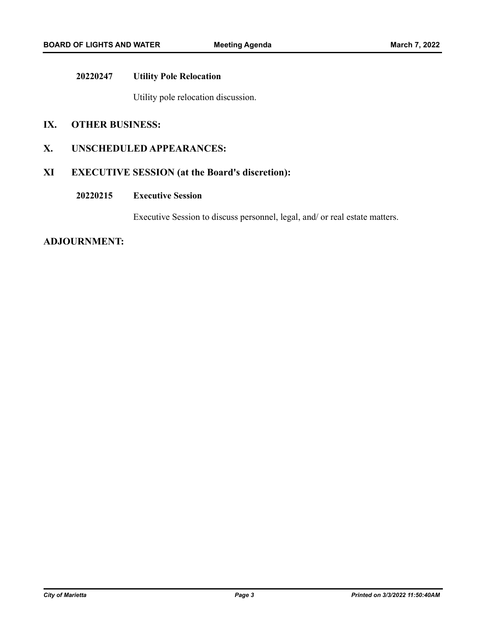#### **Utility Pole Relocation 20220247**

Utility pole relocation discussion.

## **IX. OTHER BUSINESS:**

## **X. UNSCHEDULED APPEARANCES:**

# **XI EXECUTIVE SESSION (at the Board's discretion):**

#### **Executive Session 20220215**

Executive Session to discuss personnel, legal, and/ or real estate matters.

### **ADJOURNMENT:**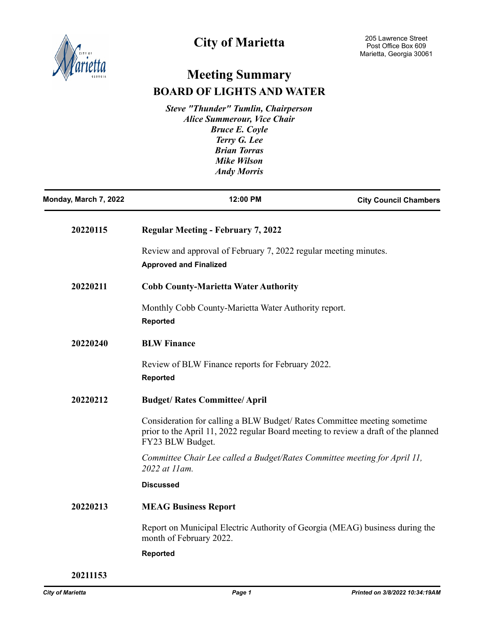

# **City of Marietta**

# **Meeting Summary BOARD OF LIGHTS AND WATER**

*Steve "Thunder" Tumlin, Chairperson Alice Summerour, Vice Chair Bruce E. Coyle Terry G. Lee Brian Torras Mike Wilson Andy Morris*

| Monday, March 7, 2022 | 12:00 PM                                                                                                                                                                          | <b>City Council Chambers</b> |
|-----------------------|-----------------------------------------------------------------------------------------------------------------------------------------------------------------------------------|------------------------------|
| 20220115              | <b>Regular Meeting - February 7, 2022</b>                                                                                                                                         |                              |
|                       | Review and approval of February 7, 2022 regular meeting minutes.<br><b>Approved and Finalized</b>                                                                                 |                              |
| 20220211              | <b>Cobb County-Marietta Water Authority</b>                                                                                                                                       |                              |
|                       | Monthly Cobb County-Marietta Water Authority report.<br><b>Reported</b>                                                                                                           |                              |
| 20220240              | <b>BLW Finance</b>                                                                                                                                                                |                              |
|                       | Review of BLW Finance reports for February 2022.<br><b>Reported</b>                                                                                                               |                              |
| 20220212              | <b>Budget/ Rates Committee/ April</b>                                                                                                                                             |                              |
|                       | Consideration for calling a BLW Budget/Rates Committee meeting sometime<br>prior to the April 11, 2022 regular Board meeting to review a draft of the planned<br>FY23 BLW Budget. |                              |
|                       | Committee Chair Lee called a Budget/Rates Committee meeting for April 11,<br>2022 at 11 am.                                                                                       |                              |
|                       | <b>Discussed</b>                                                                                                                                                                  |                              |
| 20220213              | <b>MEAG Business Report</b>                                                                                                                                                       |                              |
|                       | Report on Municipal Electric Authority of Georgia (MEAG) business during the<br>month of February 2022.                                                                           |                              |
|                       | Reported                                                                                                                                                                          |                              |